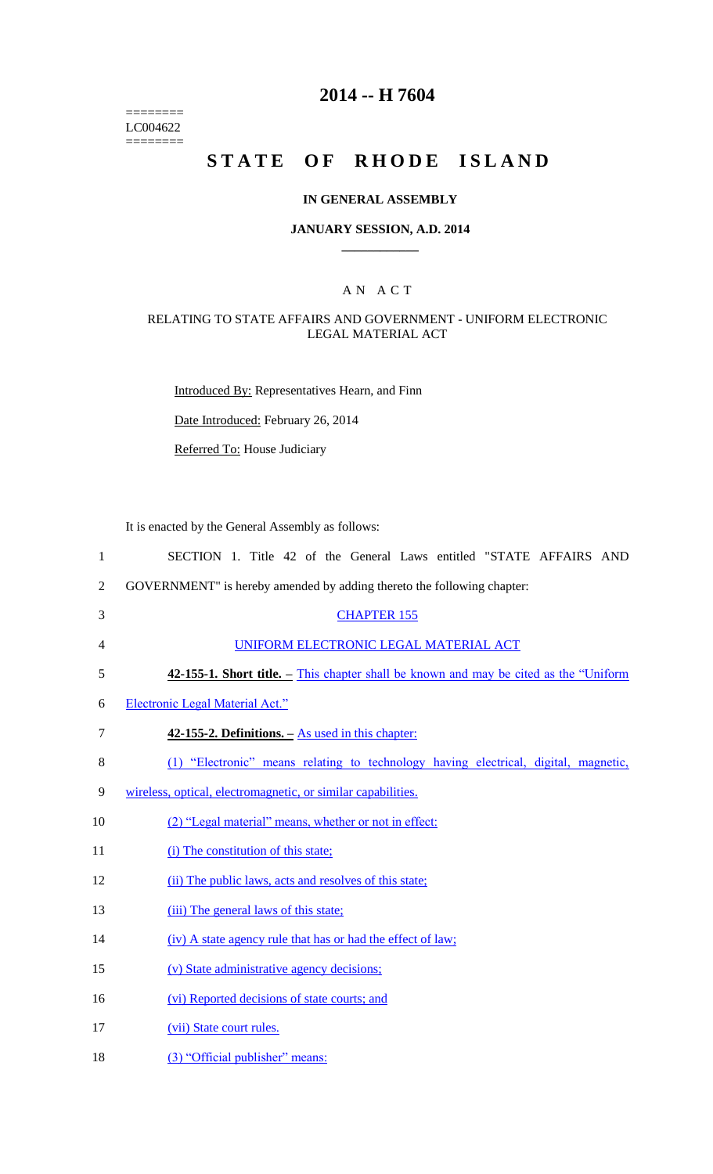======== LC004622  $=$ 

## **2014 -- H 7604**

# STATE OF RHODE ISLAND

### **IN GENERAL ASSEMBLY**

### **JANUARY SESSION, A.D. 2014 \_\_\_\_\_\_\_\_\_\_\_\_**

### A N A C T

### RELATING TO STATE AFFAIRS AND GOVERNMENT - UNIFORM ELECTRONIC LEGAL MATERIAL ACT

Introduced By: Representatives Hearn, and Finn

Date Introduced: February 26, 2014

Referred To: House Judiciary

It is enacted by the General Assembly as follows:

| $\mathbf{1}$   | SECTION 1. Title 42 of the General Laws entitled "STATE AFFAIRS AND                    |
|----------------|----------------------------------------------------------------------------------------|
| $\overline{2}$ | GOVERNMENT" is hereby amended by adding thereto the following chapter:                 |
| 3              | <b>CHAPTER 155</b>                                                                     |
| 4              | UNIFORM ELECTRONIC LEGAL MATERIAL ACT                                                  |
| 5              | 42-155-1. Short title. – This chapter shall be known and may be cited as the "Uniform" |
| 6              | Electronic Legal Material Act."                                                        |
| $\tau$         | $42-155-2$ . Definitions. $-$ As used in this chapter:                                 |
| 8              | (1) "Electronic" means relating to technology having electrical, digital, magnetic,    |
| 9              | wireless, optical, electromagnetic, or similar capabilities.                           |
| 10             | (2) "Legal material" means, whether or not in effect:                                  |
| 11             | (i) The constitution of this state;                                                    |
| 12             | (ii) The public laws, acts and resolves of this state;                                 |
| 13             | (iii) The general laws of this state;                                                  |
| 14             | (iv) A state agency rule that has or had the effect of law;                            |
| 15             | (v) State administrative agency decisions;                                             |
| 16             | (vi) Reported decisions of state courts; and                                           |
| 17             | (vii) State court rules.                                                               |
| 18             | (3) "Official publisher" means:                                                        |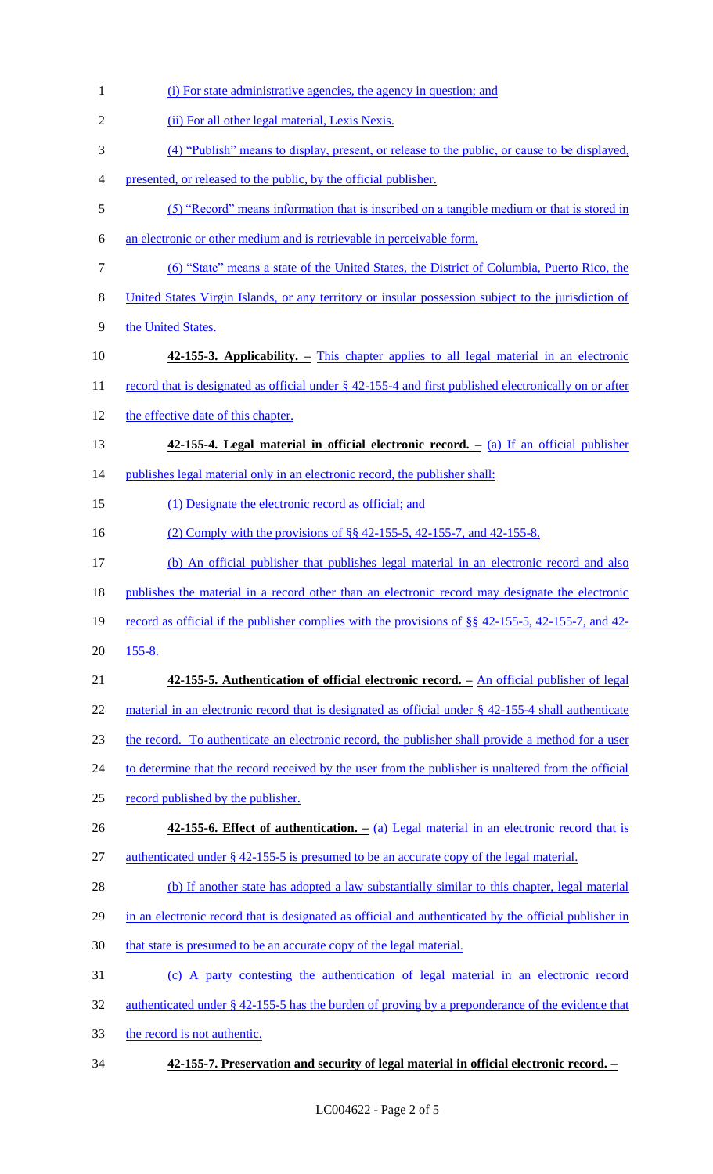| $\mathbf{1}$   | (i) For state administrative agencies, the agency in question; and                                     |
|----------------|--------------------------------------------------------------------------------------------------------|
| $\overline{2}$ | (ii) For all other legal material, Lexis Nexis.                                                        |
| 3              | (4) "Publish" means to display, present, or release to the public, or cause to be displayed,           |
| $\overline{4}$ | presented, or released to the public, by the official publisher.                                       |
| $\mathfrak s$  | (5) "Record" means information that is inscribed on a tangible medium or that is stored in             |
| 6              | an electronic or other medium and is retrievable in perceivable form.                                  |
| $\overline{7}$ | (6) "State" means a state of the United States, the District of Columbia, Puerto Rico, the             |
| $8\,$          | United States Virgin Islands, or any territory or insular possession subject to the jurisdiction of    |
| 9              | the United States.                                                                                     |
| 10             | 42-155-3. Applicability. – This chapter applies to all legal material in an electronic                 |
| 11             | record that is designated as official under § 42-155-4 and first published electronically on or after  |
| 12             | the effective date of this chapter.                                                                    |
| 13             | $42-155-4$ . Legal material in official electronic record. $-$ (a) If an official publisher            |
| 14             | publishes legal material only in an electronic record, the publisher shall:                            |
| 15             | (1) Designate the electronic record as official; and                                                   |
| 16             | (2) Comply with the provisions of §§ 42-155-5, 42-155-7, and 42-155-8.                                 |
| 17             | (b) An official publisher that publishes legal material in an electronic record and also               |
| 18             | publishes the material in a record other than an electronic record may designate the electronic        |
| 19             | record as official if the publisher complies with the provisions of $\S$ 42-155-5, 42-155-7, and 42-   |
| 20             | $155 - 8.$                                                                                             |
| 21             | 42-155-5. Authentication of official electronic record. - An official publisher of legal               |
| 22             | material in an electronic record that is designated as official under $\S$ 42-155-4 shall authenticate |
| 23             | the record. To authenticate an electronic record, the publisher shall provide a method for a user      |
| 24             | to determine that the record received by the user from the publisher is unaltered from the official    |
| 25             | record published by the publisher.                                                                     |
| 26             | 42-155-6. Effect of authentication. $-$ (a) Legal material in an electronic record that is             |
| 27             | authenticated under $\S$ 42-155-5 is presumed to be an accurate copy of the legal material.            |
| 28             | (b) If another state has adopted a law substantially similar to this chapter, legal material           |
| 29             | in an electronic record that is designated as official and authenticated by the official publisher in  |
| 30             | that state is presumed to be an accurate copy of the legal material.                                   |
| 31             | (c) A party contesting the authentication of legal material in an electronic record                    |
| 32             | authenticated under § 42-155-5 has the burden of proving by a preponderance of the evidence that       |
| 33             | the record is not authentic.                                                                           |
| 34             | 42-155-7. Preservation and security of legal material in official electronic record. -                 |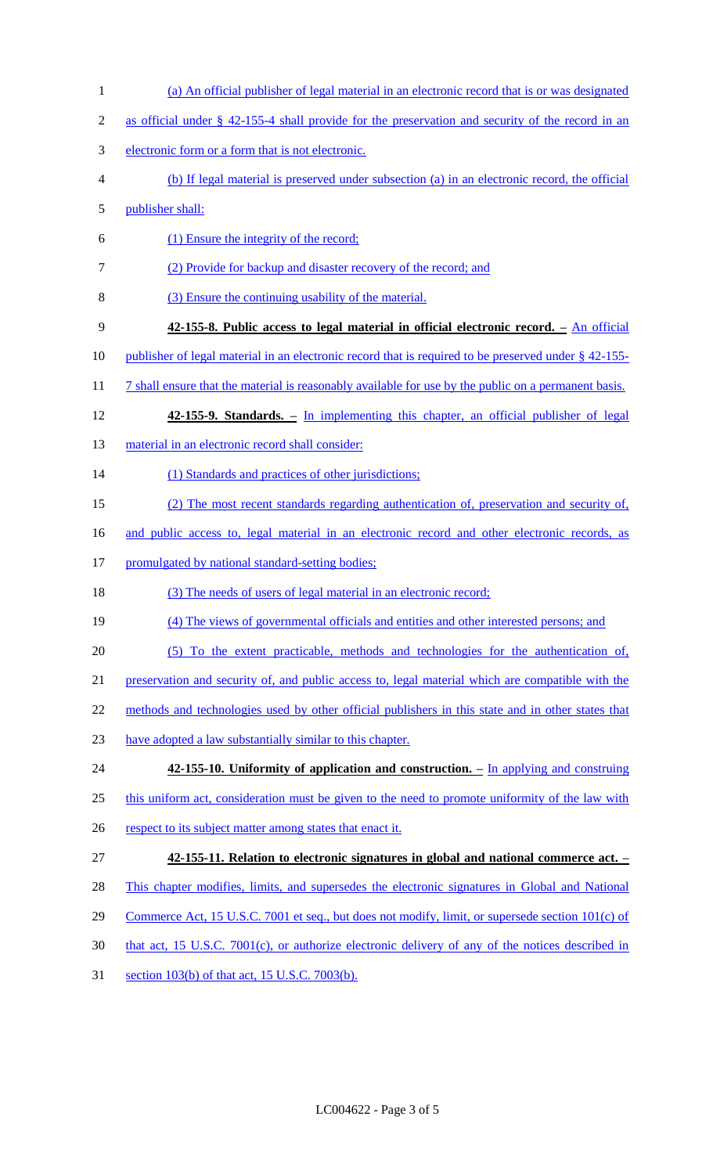- (a) An official publisher of legal material in an electronic record that is or was designated
- as official under § 42-155-4 shall provide for the preservation and security of the record in an
- electronic form or a form that is not electronic.
- (b) If legal material is preserved under subsection (a) in an electronic record, the official
- publisher shall:
- (1) Ensure the integrity of the record;
- (2) Provide for backup and disaster recovery of the record; and
- (3) Ensure the continuing usability of the material.
- **42-155-8. Public access to legal material in official electronic record. –** An official
- publisher of legal material in an electronic record that is required to be preserved under § 42-155-
- 11 7 shall ensure that the material is reasonably available for use by the public on a permanent basis.
- **42-155-9. Standards. –** In implementing this chapter, an official publisher of legal
- 13 material in an electronic record shall consider:
- 14 (1) Standards and practices of other jurisdictions;
- (2) The most recent standards regarding authentication of, preservation and security of,
- 16 and public access to, legal material in an electronic record and other electronic records, as
- 17 promulgated by national standard-setting bodies;
- (3) The needs of users of legal material in an electronic record;
- (4) The views of governmental officials and entities and other interested persons; and
- (5) To the extent practicable, methods and technologies for the authentication of,
- preservation and security of, and public access to, legal material which are compatible with the
- 22 methods and technologies used by other official publishers in this state and in other states that
- have adopted a law substantially similar to this chapter.
- **42-155-10. Uniformity of application and construction. –** In applying and construing 25 this uniform act, consideration must be given to the need to promote uniformity of the law with 26 respect to its subject matter among states that enact it.
- **42-155-11. Relation to electronic signatures in global and national commerce act. –**
- 28 This chapter modifies, limits, and supersedes the electronic signatures in Global and National
- 29 Commerce Act, 15 U.S.C. 7001 et seq., but does not modify, limit, or supersede section 101(c) of
- that act, 15 U.S.C. 7001(c), or authorize electronic delivery of any of the notices described in
- section 103(b) of that act, 15 U.S.C. 7003(b).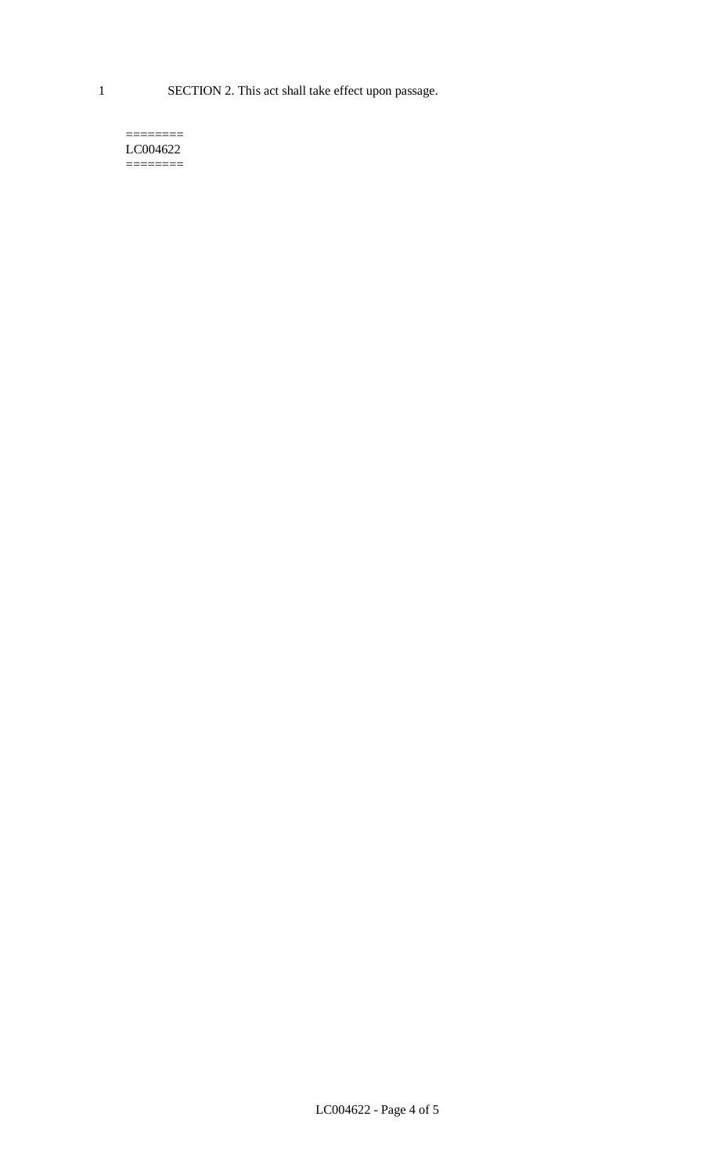1 SECTION 2. This act shall take effect upon passage.

#### $=$ LC004622  $=$